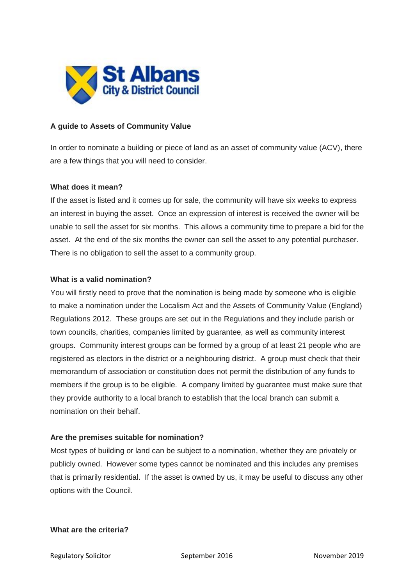

## **A guide to Assets of Community Value**

In order to nominate a building or piece of land as an asset of community value (ACV), there are a few things that you will need to consider.

### **What does it mean?**

If the asset is listed and it comes up for sale, the community will have six weeks to express an interest in buying the asset. Once an expression of interest is received the owner will be unable to sell the asset for six months. This allows a community time to prepare a bid for the asset. At the end of the six months the owner can sell the asset to any potential purchaser. There is no obligation to sell the asset to a community group.

### **What is a valid nomination?**

You will firstly need to prove that the nomination is being made by someone who is eligible to make a nomination under the Localism Act and the Assets of Community Value (England) Regulations 2012. These groups are set out in the Regulations and they include parish or town councils, charities, companies limited by guarantee, as well as community interest groups. Community interest groups can be formed by a group of at least 21 people who are registered as electors in the district or a neighbouring district. A group must check that their memorandum of association or constitution does not permit the distribution of any funds to members if the group is to be eligible. A company limited by guarantee must make sure that they provide authority to a local branch to establish that the local branch can submit a nomination on their behalf.

## **Are the premises suitable for nomination?**

Most types of building or land can be subject to a nomination, whether they are privately or publicly owned. However some types cannot be nominated and this includes any premises that is primarily residential. If the asset is owned by us, it may be useful to discuss any other options with the Council.

## **What are the criteria?**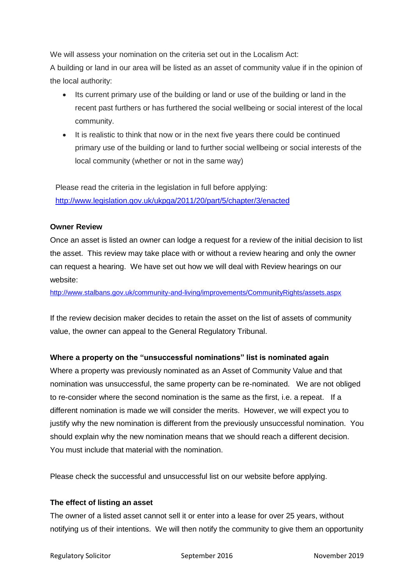We will assess your nomination on the criteria set out in the Localism Act: A building or land in our area will be listed as an asset of community value if in the opinion of the local authority:

- Its current primary use of the building or land or use of the building or land in the recent past furthers or has furthered the social wellbeing or social interest of the local community.
- It is realistic to think that now or in the next five years there could be continued primary use of the building or land to further social wellbeing or social interests of the local community (whether or not in the same way)

Please read the criteria in the legislation in full before applying: <http://www.legislation.gov.uk/ukpga/2011/20/part/5/chapter/3/enacted>

## **Owner Review**

Once an asset is listed an owner can lodge a request for a review of the initial decision to list the asset. This review may take place with or without a review hearing and only the owner can request a hearing. We have set out how we will deal with Review hearings on our website:

<http://www.stalbans.gov.uk/community-and-living/improvements/CommunityRights/assets.aspx>

If the review decision maker decides to retain the asset on the list of assets of community value, the owner can appeal to the General Regulatory Tribunal.

# **Where a property on the "unsuccessful nominations" list is nominated again**

Where a property was previously nominated as an Asset of Community Value and that nomination was unsuccessful, the same property can be re-nominated. We are not obliged to re-consider where the second nomination is the same as the first, i.e. a repeat. If a different nomination is made we will consider the merits. However, we will expect you to justify why the new nomination is different from the previously unsuccessful nomination. You should explain why the new nomination means that we should reach a different decision. You must include that material with the nomination.

Please check the successful and unsuccessful list on our website before applying.

## **The effect of listing an asset**

The owner of a listed asset cannot sell it or enter into a lease for over 25 years, without notifying us of their intentions. We will then notify the community to give them an opportunity